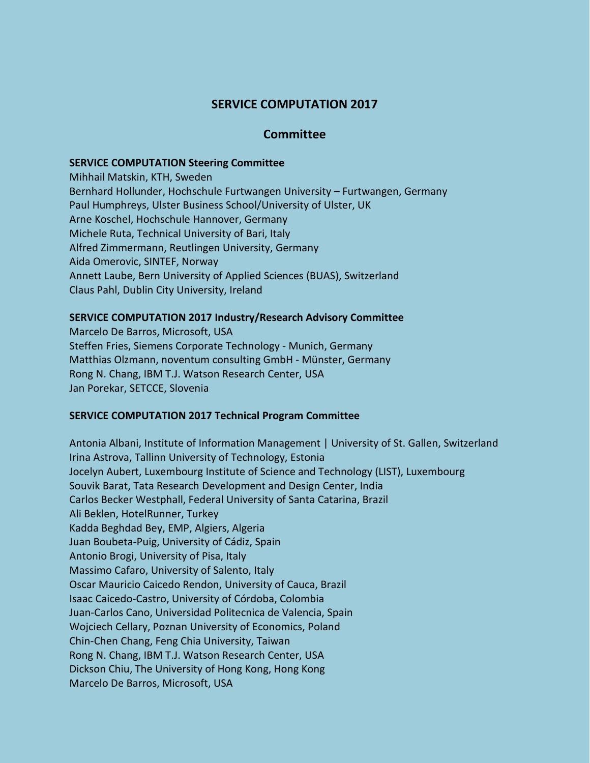# **SERVICE COMPUTATION 2017**

## **Committee**

#### **SERVICE COMPUTATION Steering Committee**

Mihhail Matskin, KTH, Sweden Bernhard Hollunder, Hochschule Furtwangen University – Furtwangen, Germany Paul Humphreys, Ulster Business School/University of Ulster, UK Arne Koschel, Hochschule Hannover, Germany Michele Ruta, Technical University of Bari, Italy Alfred Zimmermann, Reutlingen University, Germany Aida Omerovic, SINTEF, Norway Annett Laube, Bern University of Applied Sciences (BUAS), Switzerland Claus Pahl, Dublin City University, Ireland

### **SERVICE COMPUTATION 2017 Industry/Research Advisory Committee**

Marcelo De Barros, Microsoft, USA Steffen Fries, Siemens Corporate Technology - Munich, Germany Matthias Olzmann, noventum consulting GmbH - Münster, Germany Rong N. Chang, IBM T.J. Watson Research Center, USA Jan Porekar, SETCCE, Slovenia

### **SERVICE COMPUTATION 2017 Technical Program Committee**

Antonia Albani, Institute of Information Management | University of St. Gallen, Switzerland Irina Astrova, Tallinn University of Technology, Estonia Jocelyn Aubert, Luxembourg Institute of Science and Technology (LIST), Luxembourg Souvik Barat, Tata Research Development and Design Center, India Carlos Becker Westphall, Federal University of Santa Catarina, Brazil Ali Beklen, HotelRunner, Turkey Kadda Beghdad Bey, EMP, Algiers, Algeria Juan Boubeta-Puig, University of Cádiz, Spain Antonio Brogi, University of Pisa, Italy Massimo Cafaro, University of Salento, Italy Oscar Mauricio Caicedo Rendon, University of Cauca, Brazil Isaac Caicedo-Castro, University of Córdoba, Colombia Juan-Carlos Cano, Universidad Politecnica de Valencia, Spain Wojciech Cellary, Poznan University of Economics, Poland Chin-Chen Chang, Feng Chia University, Taiwan Rong N. Chang, IBM T.J. Watson Research Center, USA Dickson Chiu, The University of Hong Kong, Hong Kong Marcelo De Barros, Microsoft, USA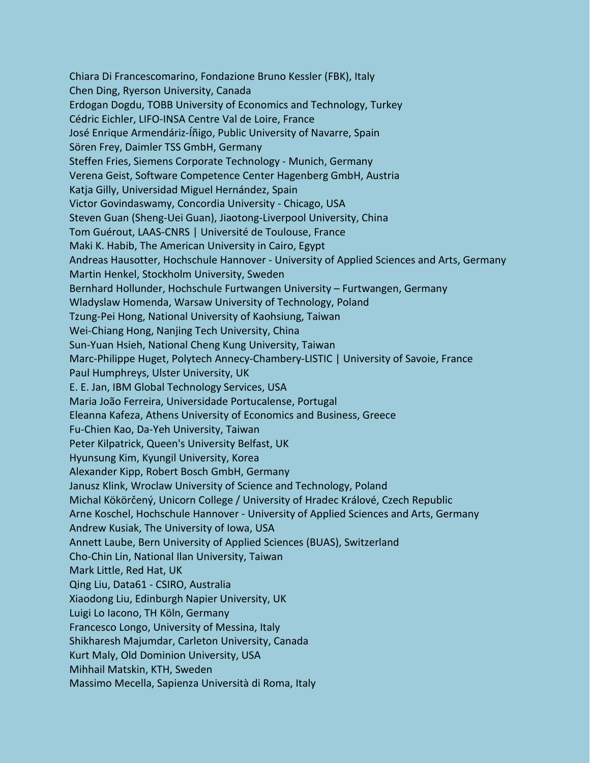Chiara Di Francescomarino, Fondazione Bruno Kessler (FBK), Italy Chen Ding, Ryerson University, Canada Erdogan Dogdu, TOBB University of Economics and Technology, Turkey Cédric Eichler, LIFO-INSA Centre Val de Loire, France José Enrique Armendáriz-Íñigo, Public University of Navarre, Spain Sören Frey, Daimler TSS GmbH, Germany Steffen Fries, Siemens Corporate Technology - Munich, Germany Verena Geist, Software Competence Center Hagenberg GmbH, Austria Katja Gilly, Universidad Miguel Hernández, Spain Victor Govindaswamy, Concordia University - Chicago, USA Steven Guan (Sheng-Uei Guan), Jiaotong-Liverpool University, China Tom Guérout, LAAS-CNRS | Université de Toulouse, France Maki K. Habib, The American University in Cairo, Egypt Andreas Hausotter, Hochschule Hannover - University of Applied Sciences and Arts, Germany Martin Henkel, Stockholm University, Sweden Bernhard Hollunder, Hochschule Furtwangen University – Furtwangen, Germany Wladyslaw Homenda, Warsaw University of Technology, Poland Tzung-Pei Hong, National University of Kaohsiung, Taiwan Wei-Chiang Hong, Nanjing Tech University, China Sun-Yuan Hsieh, National Cheng Kung University, Taiwan Marc-Philippe Huget, Polytech Annecy-Chambery-LISTIC | University of Savoie, France Paul Humphreys, Ulster University, UK E. E. Jan, IBM Global Technology Services, USA Maria João Ferreira, Universidade Portucalense, Portugal Eleanna Kafeza, Athens University of Economics and Business, Greece Fu-Chien Kao, Da-Yeh University, Taiwan Peter Kilpatrick, Queen's University Belfast, UK Hyunsung Kim, Kyungil University, Korea Alexander Kipp, Robert Bosch GmbH, Germany Janusz Klink, Wroclaw University of Science and Technology, Poland Michal Kökörčený, Unicorn College / University of Hradec Králové, Czech Republic Arne Koschel, Hochschule Hannover - University of Applied Sciences and Arts, Germany Andrew Kusiak, The University of Iowa, USA Annett Laube, Bern University of Applied Sciences (BUAS), Switzerland Cho-Chin Lin, National Ilan University, Taiwan Mark Little, Red Hat, UK Qing Liu, Data61 - CSIRO, Australia Xiaodong Liu, Edinburgh Napier University, UK Luigi Lo Iacono, TH Köln, Germany Francesco Longo, University of Messina, Italy Shikharesh Majumdar, Carleton University, Canada Kurt Maly, Old Dominion University, USA Mihhail Matskin, KTH, Sweden Massimo Mecella, Sapienza Università di Roma, Italy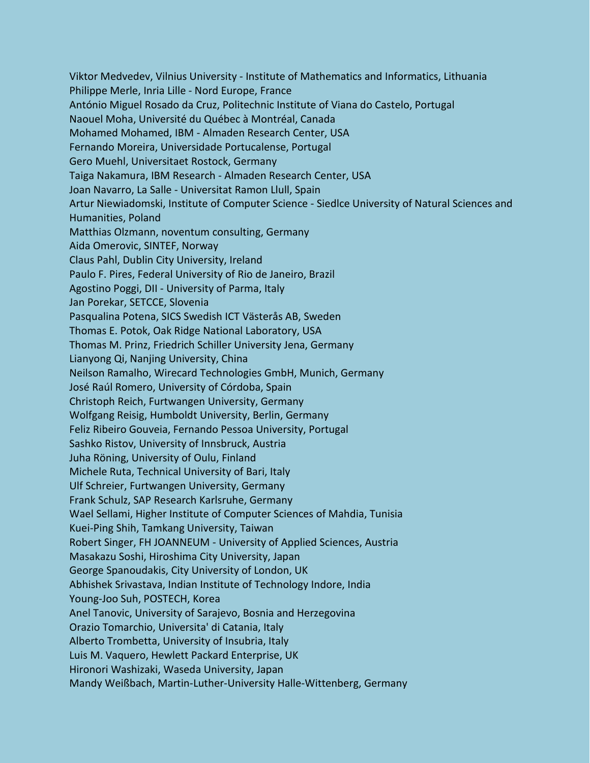Viktor Medvedev, Vilnius University - Institute of Mathematics and Informatics, Lithuania Philippe Merle, Inria Lille - Nord Europe, France António Miguel Rosado da Cruz, Politechnic Institute of Viana do Castelo, Portugal Naouel Moha, Université du Québec à Montréal, Canada Mohamed Mohamed, IBM - Almaden Research Center, USA Fernando Moreira, Universidade Portucalense, Portugal Gero Muehl, Universitaet Rostock, Germany Taiga Nakamura, IBM Research - Almaden Research Center, USA Joan Navarro, La Salle - Universitat Ramon Llull, Spain Artur Niewiadomski, Institute of Computer Science - Siedlce University of Natural Sciences and Humanities, Poland Matthias Olzmann, noventum consulting, Germany Aida Omerovic, SINTEF, Norway Claus Pahl, Dublin City University, Ireland Paulo F. Pires, Federal University of Rio de Janeiro, Brazil Agostino Poggi, DII - University of Parma, Italy Jan Porekar, SETCCE, Slovenia Pasqualina Potena, SICS Swedish ICT Västerås AB, Sweden Thomas E. Potok, Oak Ridge National Laboratory, USA Thomas M. Prinz, Friedrich Schiller University Jena, Germany Lianyong Qi, Nanjing University, China Neilson Ramalho, Wirecard Technologies GmbH, Munich, Germany José Raúl Romero, University of Córdoba, Spain Christoph Reich, Furtwangen University, Germany Wolfgang Reisig, Humboldt University, Berlin, Germany Feliz Ribeiro Gouveia, Fernando Pessoa University, Portugal Sashko Ristov, University of Innsbruck, Austria Juha Röning, University of Oulu, Finland Michele Ruta, Technical University of Bari, Italy Ulf Schreier, Furtwangen University, Germany Frank Schulz, SAP Research Karlsruhe, Germany Wael Sellami, Higher Institute of Computer Sciences of Mahdia, Tunisia Kuei-Ping Shih, Tamkang University, Taiwan Robert Singer, FH JOANNEUM - University of Applied Sciences, Austria Masakazu Soshi, Hiroshima City University, Japan George Spanoudakis, City University of London, UK Abhishek Srivastava, Indian Institute of Technology Indore, India Young-Joo Suh, POSTECH, Korea Anel Tanovic, University of Sarajevo, Bosnia and Herzegovina Orazio Tomarchio, Universita' di Catania, Italy Alberto Trombetta, University of Insubria, Italy Luis M. Vaquero, Hewlett Packard Enterprise, UK Hironori Washizaki, Waseda University, Japan Mandy Weißbach, Martin-Luther-University Halle-Wittenberg, Germany